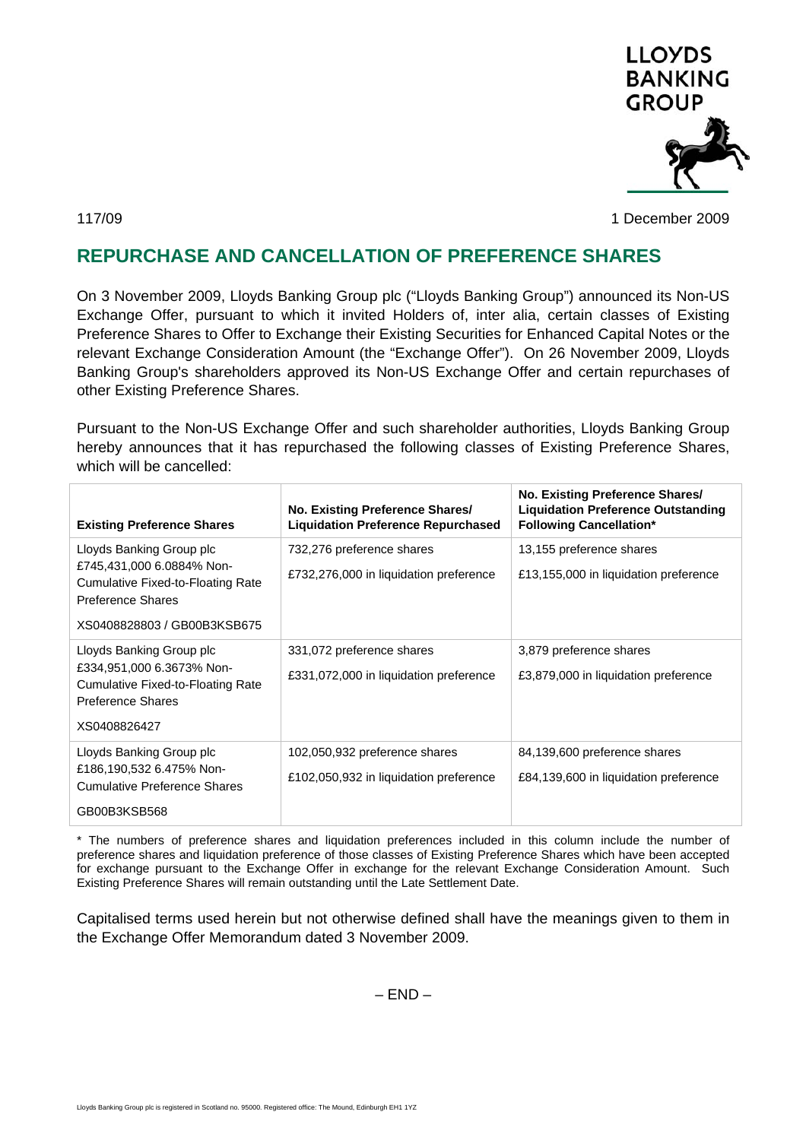

117/09 1 December 2009

## **REPURCHASE AND CANCELLATION OF PREFERENCE SHARES**

On 3 November 2009, Lloyds Banking Group plc ("Lloyds Banking Group") announced its Non-US Exchange Offer, pursuant to which it invited Holders of, inter alia, certain classes of Existing Preference Shares to Offer to Exchange their Existing Securities for Enhanced Capital Notes or the relevant Exchange Consideration Amount (the "Exchange Offer"). On 26 November 2009, Lloyds Banking Group's shareholders approved its Non-US Exchange Offer and certain repurchases of other Existing Preference Shares.

Pursuant to the Non-US Exchange Offer and such shareholder authorities, Lloyds Banking Group hereby announces that it has repurchased the following classes of Existing Preference Shares, which will be cancelled:

| <b>Existing Preference Shares</b>                                                                                                              | No. Existing Preference Shares/<br><b>Liquidation Preference Repurchased</b> | No. Existing Preference Shares/<br><b>Liquidation Preference Outstanding</b><br><b>Following Cancellation*</b> |
|------------------------------------------------------------------------------------------------------------------------------------------------|------------------------------------------------------------------------------|----------------------------------------------------------------------------------------------------------------|
| Lloyds Banking Group plc<br>£745,431,000 6.0884% Non-<br>Cumulative Fixed-to-Floating Rate<br>Preference Shares<br>XS0408828803 / GB00B3KSB675 | 732,276 preference shares<br>£732,276,000 in liquidation preference          | 13,155 preference shares<br>£13,155,000 in liquidation preference                                              |
| Lloyds Banking Group plc<br>£334,951,000 6.3673% Non-<br>Cumulative Fixed-to-Floating Rate<br><b>Preference Shares</b><br>XS0408826427         | 331,072 preference shares<br>£331,072,000 in liquidation preference          | 3,879 preference shares<br>£3,879,000 in liquidation preference                                                |
| Lloyds Banking Group plc<br>£186,190,532 6.475% Non-<br><b>Cumulative Preference Shares</b><br>GB00B3KSB568                                    | 102,050,932 preference shares<br>£102,050,932 in liquidation preference      | 84,139,600 preference shares<br>£84,139,600 in liquidation preference                                          |

\* The numbers of preference shares and liquidation preferences included in this column include the number of preference shares and liquidation preference of those classes of Existing Preference Shares which have been accepted for exchange pursuant to the Exchange Offer in exchange for the relevant Exchange Consideration Amount. Such Existing Preference Shares will remain outstanding until the Late Settlement Date.

Capitalised terms used herein but not otherwise defined shall have the meanings given to them in the Exchange Offer Memorandum dated 3 November 2009.

 $-$  END  $-$